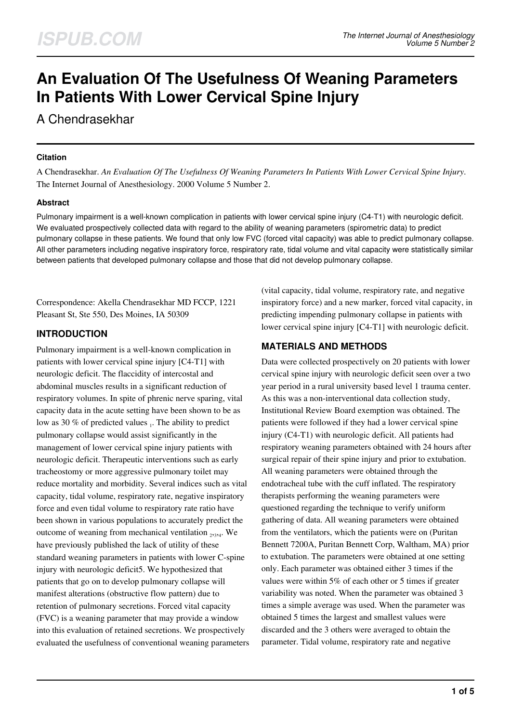# **An Evaluation Of The Usefulness Of Weaning Parameters In Patients With Lower Cervical Spine Injury**

A Chendrasekhar

#### **Citation**

A Chendrasekhar. *An Evaluation Of The Usefulness Of Weaning Parameters In Patients With Lower Cervical Spine Injury*. The Internet Journal of Anesthesiology. 2000 Volume 5 Number 2.

### **Abstract**

Pulmonary impairment is a well-known complication in patients with lower cervical spine injury (C4-T1) with neurologic deficit. We evaluated prospectively collected data with regard to the ability of weaning parameters (spirometric data) to predict pulmonary collapse in these patients. We found that only low FVC (forced vital capacity) was able to predict pulmonary collapse. All other parameters including negative inspiratory force, respiratory rate, tidal volume and vital capacity were statistically similar between patients that developed pulmonary collapse and those that did not develop pulmonary collapse.

Correspondence: Akella Chendrasekhar MD FCCP, 1221 Pleasant St, Ste 550, Des Moines, IA 50309

# **INTRODUCTION**

Pulmonary impairment is a well-known complication in patients with lower cervical spine injury [C4-T1] with neurologic deficit. The flaccidity of intercostal and abdominal muscles results in a significant reduction of respiratory volumes. In spite of phrenic nerve sparing, vital capacity data in the acute setting have been shown to be as low as 30 % of predicted values <sub>1</sub>. The ability to predict pulmonary collapse would assist significantly in the management of lower cervical spine injury patients with neurologic deficit. Therapeutic interventions such as early tracheostomy or more aggressive pulmonary toilet may reduce mortality and morbidity. Several indices such as vital capacity, tidal volume, respiratory rate, negative inspiratory force and even tidal volume to respiratory rate ratio have been shown in various populations to accurately predict the outcome of weaning from mechanical ventilation  $_{2,3,4}$ . We have previously published the lack of utility of these standard weaning parameters in patients with lower C-spine injury with neurologic deficit5. We hypothesized that patients that go on to develop pulmonary collapse will manifest alterations (obstructive flow pattern) due to retention of pulmonary secretions. Forced vital capacity (FVC) is a weaning parameter that may provide a window into this evaluation of retained secretions. We prospectively evaluated the usefulness of conventional weaning parameters (vital capacity, tidal volume, respiratory rate, and negative inspiratory force) and a new marker, forced vital capacity, in predicting impending pulmonary collapse in patients with lower cervical spine injury [C4-T1] with neurologic deficit.

# **MATERIALS AND METHODS**

Data were collected prospectively on 20 patients with lower cervical spine injury with neurologic deficit seen over a two year period in a rural university based level 1 trauma center. As this was a non-interventional data collection study, Institutional Review Board exemption was obtained. The patients were followed if they had a lower cervical spine injury (C4-T1) with neurologic deficit. All patients had respiratory weaning parameters obtained with 24 hours after surgical repair of their spine injury and prior to extubation. All weaning parameters were obtained through the endotracheal tube with the cuff inflated. The respiratory therapists performing the weaning parameters were questioned regarding the technique to verify uniform gathering of data. All weaning parameters were obtained from the ventilators, which the patients were on (Puritan Bennett 7200A, Puritan Bennett Corp, Waltham, MA) prior to extubation. The parameters were obtained at one setting only. Each parameter was obtained either 3 times if the values were within 5% of each other or 5 times if greater variability was noted. When the parameter was obtained 3 times a simple average was used. When the parameter was obtained 5 times the largest and smallest values were discarded and the 3 others were averaged to obtain the parameter. Tidal volume, respiratory rate and negative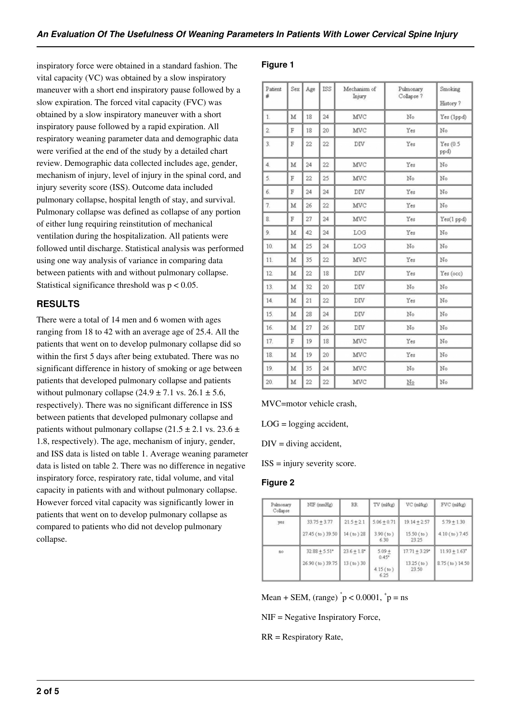inspiratory force were obtained in a standard fashion. The vital capacity (VC) was obtained by a slow inspiratory maneuver with a short end inspiratory pause followed by a slow expiration. The forced vital capacity (FVC) was obtained by a slow inspiratory maneuver with a short inspiratory pause followed by a rapid expiration. All respiratory weaning parameter data and demographic data were verified at the end of the study by a detailed chart review. Demographic data collected includes age, gender, mechanism of injury, level of injury in the spinal cord, and injury severity score (ISS). Outcome data included pulmonary collapse, hospital length of stay, and survival. Pulmonary collapse was defined as collapse of any portion of either lung requiring reinstitution of mechanical ventilation during the hospitalization. All patients were followed until discharge. Statistical analysis was performed using one way analysis of variance in comparing data between patients with and without pulmonary collapse. Statistical significance threshold was  $p < 0.05$ .

# **RESULTS**

There were a total of 14 men and 6 women with ages ranging from 18 to 42 with an average age of 25.4. All the patients that went on to develop pulmonary collapse did so within the first 5 days after being extubated. There was no significant difference in history of smoking or age between patients that developed pulmonary collapse and patients without pulmonary collapse  $(24.9 \pm 7.1 \text{ vs. } 26.1 \pm 5.6,$ respectively). There was no significant difference in ISS between patients that developed pulmonary collapse and patients without pulmonary collapse (21.5  $\pm$  2.1 vs. 23.6  $\pm$ 1.8, respectively). The age, mechanism of injury, gender, and ISS data is listed on table 1. Average weaning parameter data is listed on table 2. There was no difference in negative inspiratory force, respiratory rate, tidal volume, and vital capacity in patients with and without pulmonary collapse. However forced vital capacity was significantly lower in patients that went on to develop pulmonary collapse as compared to patients who did not develop pulmonary collapse.

## **Figure 1**

| Patient<br>#     | Sex | Age | ISS     | Mechanism of<br>Injury | Pulmonary<br>Collapse ? | Smoking<br>History ? |
|------------------|-----|-----|---------|------------------------|-------------------------|----------------------|
| $\mathbf{1}$     | M   | 18  | $^{24}$ | MVC                    | No                      | Yes (1ppd)           |
| $\overline{2}$   | F   | 18  | 20      | MVC                    | Yes                     | No                   |
| $\overline{3}$ . | F   | 22  | 22      | $\mathrm{DIV}$         | Yes                     | Yes(0.5)<br>ppd)     |
| 4.               | M   | 24  | 22      | MVC                    | Yes                     | No                   |
| 5.               | F   | 22  | 25      | MVC                    | No                      | No                   |
| 6.               | F   | 24  | 24      | DIV                    | Yes                     | No                   |
| 7.               | M   | 26  | 22      | MVC                    | Yes                     | No                   |
| 8.               | F   | 27  | $^{24}$ | MVC                    | Yes                     | Yes(1 ppd)           |
| 9.               | M   | 42  | 24      | LOG                    | Yes                     | No                   |
| 10.              | M   | 25  | $^{24}$ | LOG                    | No                      | No                   |
| 11.              | M   | 35  | 22      | MVC                    | Yes                     | No                   |
| 12.              | M   | 22  | 18      | DIV                    | Yes                     | Yes (occ)            |
| 13.              | M   | 32  | 20      | DIV                    | No                      | No                   |
| 14.              | M   | 21  | 22      | $_{\rm{DIV}}$          | Yes                     | No                   |
| 15.              | M   | 28  | 24      | DIV                    | No                      | No                   |
| 16.              | M   | 27  | 26      | $\rm{DIV}$             | No                      | No                   |
| 17.              | F   | 19  | 18      | MVC                    | Yes                     | No                   |
| 18.              | M   | 19  | 20      | MVC                    | Yes                     | No                   |
| 19.              | M   | 35  | 24      | MVC                    | No                      | No                   |
| 20.              | M   | 22  | 22      | MVC                    | $\mathbb{N}^{\circ}$    | No                   |

### MVC=motor vehicle crash,

 $LOG = logging accident,$ 

 $DIV = \text{diving accident},$ 

ISS = injury severity score.

### **Figure 2**

| Pulmonary<br>Collapse | NIF (mmHg)                                      | RR.                        | TV (ml/kg)                                 | VC (ml/kg)                                           | FVC (ml/kg)                                    |
|-----------------------|-------------------------------------------------|----------------------------|--------------------------------------------|------------------------------------------------------|------------------------------------------------|
| yes                   | $33.75 + 3.77$<br>27.45 (to) 39.50              | $21.5 + 2.1$<br>14 (to) 28 | $5.06 + 0.71$<br>$3.90$ (to)<br>6.30       | $19.14 + 2.57$<br>$15.50$ (to)<br>23.25              | $5.79 + 1.30$<br>4.10 (to) 7.45                |
| fiō                   | $32.88 + 5.51$ <sup>*</sup><br>26.90 (to) 39.75 | $23.6 + 1.8$ *<br>13(to)30 | $5.09 +$<br>$0.45*$<br>$4.15$ (to)<br>6.25 | $17.71 + 3.29$ <sup>+</sup><br>$13.25$ (to)<br>23.50 | $11.93 + 1.63$ <sup>*</sup><br>8.75 (to) 14.50 |

Mean + SEM, (range)  $\degree$  p < 0.0001,  $\degree$  p = ns

NIF = Negative Inspiratory Force,

RR = Respiratory Rate,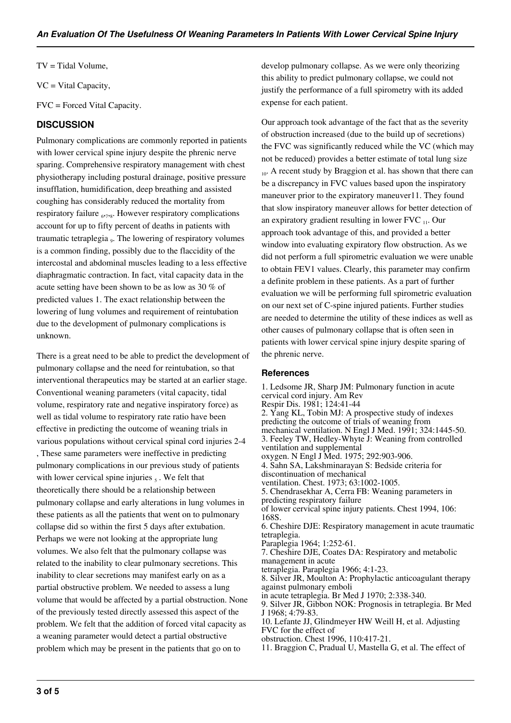TV = Tidal Volume,

VC = Vital Capacity,

FVC = Forced Vital Capacity.

#### **DISCUSSION**

Pulmonary complications are commonly reported in patients with lower cervical spine injury despite the phrenic nerve sparing. Comprehensive respiratory management with chest physiotherapy including postural drainage, positive pressure insufflation, humidification, deep breathing and assisted coughing has considerably reduced the mortality from respiratory failure <sub>6,728</sub>. However respiratory complications account for up to fifty percent of deaths in patients with traumatic tetraplegia <sub>9</sub>. The lowering of respiratory volumes is a common finding, possibly due to the flaccidity of the intercostal and abdominal muscles leading to a less effective diaphragmatic contraction. In fact, vital capacity data in the acute setting have been shown to be as low as 30 % of predicted values 1. The exact relationship between the lowering of lung volumes and requirement of reintubation due to the development of pulmonary complications is unknown.

There is a great need to be able to predict the development of pulmonary collapse and the need for reintubation, so that interventional therapeutics may be started at an earlier stage. Conventional weaning parameters (vital capacity, tidal volume, respiratory rate and negative inspiratory force) as well as tidal volume to respiratory rate ratio have been effective in predicting the outcome of weaning trials in various populations without cervical spinal cord injuries 2-4 , These same parameters were ineffective in predicting pulmonary complications in our previous study of patients with lower cervical spine injuries  $<sub>5</sub>$ . We felt that</sub> theoretically there should be a relationship between pulmonary collapse and early alterations in lung volumes in these patients as all the patients that went on to pulmonary collapse did so within the first 5 days after extubation. Perhaps we were not looking at the appropriate lung volumes. We also felt that the pulmonary collapse was related to the inability to clear pulmonary secretions. This inability to clear secretions may manifest early on as a partial obstructive problem. We needed to assess a lung volume that would be affected by a partial obstruction. None of the previously tested directly assessed this aspect of the problem. We felt that the addition of forced vital capacity as a weaning parameter would detect a partial obstructive problem which may be present in the patients that go on to

develop pulmonary collapse. As we were only theorizing this ability to predict pulmonary collapse, we could not justify the performance of a full spirometry with its added expense for each patient.

Our approach took advantage of the fact that as the severity of obstruction increased (due to the build up of secretions) the FVC was significantly reduced while the VC (which may not be reduced) provides a better estimate of total lung size <sub>10</sub>. A recent study by Braggion et al. has shown that there can be a discrepancy in FVC values based upon the inspiratory maneuver prior to the expiratory maneuver11. They found that slow inspiratory maneuver allows for better detection of an expiratory gradient resulting in lower FVC  $_{11}$ . Our approach took advantage of this, and provided a better window into evaluating expiratory flow obstruction. As we did not perform a full spirometric evaluation we were unable to obtain FEV1 values. Clearly, this parameter may confirm a definite problem in these patients. As a part of further evaluation we will be performing full spirometric evaluation on our next set of C-spine injured patients. Further studies are needed to determine the utility of these indices as well as other causes of pulmonary collapse that is often seen in patients with lower cervical spine injury despite sparing of the phrenic nerve.

#### **References**

1. Ledsome JR, Sharp JM: Pulmonary function in acute cervical cord injury. Am Rev Respir Dis. 1981; 124:41-44 2. Yang KL, Tobin MJ: A prospective study of indexes predicting the outcome of trials of weaning from mechanical ventilation. N Engl J Med. 1991; 324:1445-50. 3. Feeley TW, Hedley-Whyte J: Weaning from controlled ventilation and supplemental oxygen. N Engl J Med. 1975; 292:903-906. 4. Sahn SA, Lakshminarayan S: Bedside criteria for discontinuation of mechanical ventilation. Chest. 1973; 63:1002-1005. 5. Chendrasekhar A, Cerra FB: Weaning parameters in predicting respiratory failure of lower cervical spine injury patients. Chest 1994, 106: 168S. 6. Cheshire DJE: Respiratory management in acute traumatic tetraplegia. Paraplegia 1964; 1:252-61. 7. Cheshire DJE, Coates DA: Respiratory and metabolic management in acute tetraplegia. Paraplegia 1966; 4:1-23. 8. Silver JR, Moulton A: Prophylactic anticoagulant therapy against pulmonary emboli in acute tetraplegia. Br Med J 1970; 2:338-340. 9. Silver JR, Gibbon NOK: Prognosis in tetraplegia. Br Med J 1968; 4:79-83. 10. Lefante JJ, Glindmeyer HW Weill H, et al. Adjusting FVC for the effect of obstruction. Chest 1996, 110:417-21. 11. Braggion C, Pradual U, Mastella G, et al. The effect of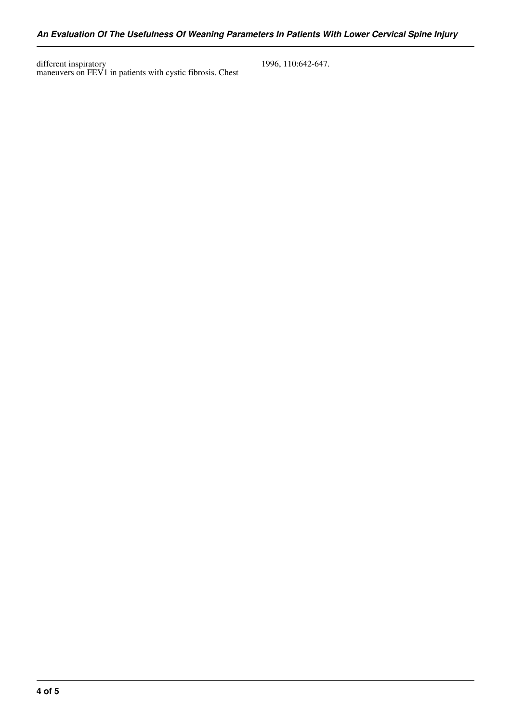different inspiratory maneuvers on FEV1 in patients with cystic fibrosis. Chest 1996, 110:642-647.